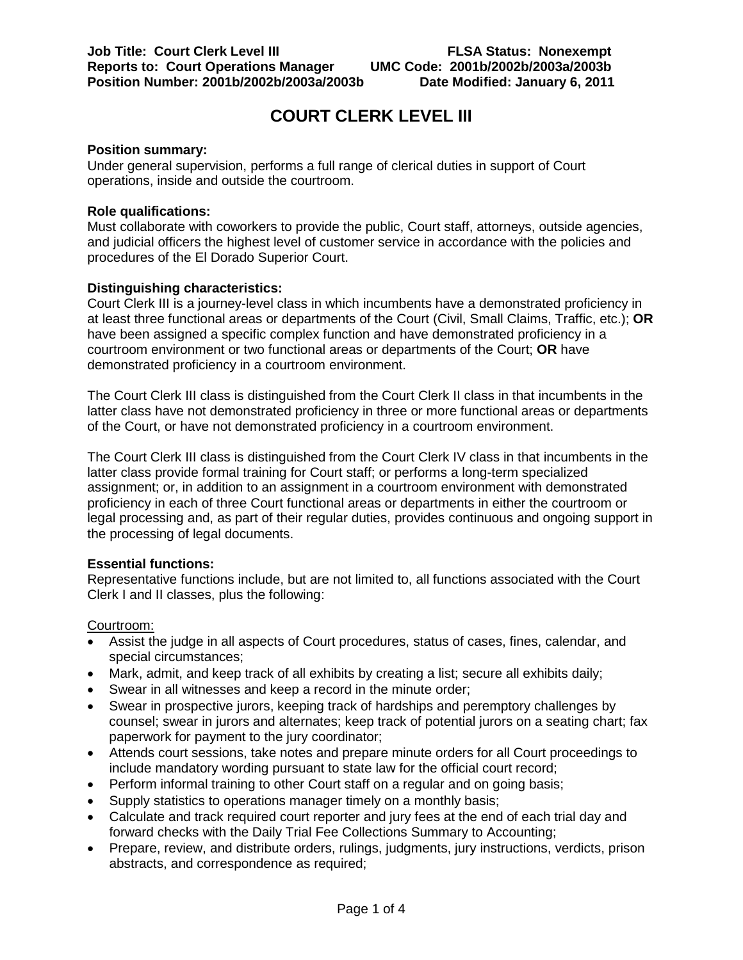# **COURT CLERK LEVEL III**

#### **Position summary:**

Under general supervision, performs a full range of clerical duties in support of Court operations, inside and outside the courtroom.

#### **Role qualifications:**

Must collaborate with coworkers to provide the public, Court staff, attorneys, outside agencies, and judicial officers the highest level of customer service in accordance with the policies and procedures of the El Dorado Superior Court.

#### **Distinguishing characteristics:**

Court Clerk III is a journey-level class in which incumbents have a demonstrated proficiency in at least three functional areas or departments of the Court (Civil, Small Claims, Traffic, etc.); **OR** have been assigned a specific complex function and have demonstrated proficiency in a courtroom environment or two functional areas or departments of the Court; **OR** have demonstrated proficiency in a courtroom environment.

The Court Clerk III class is distinguished from the Court Clerk II class in that incumbents in the latter class have not demonstrated proficiency in three or more functional areas or departments of the Court, or have not demonstrated proficiency in a courtroom environment.

The Court Clerk III class is distinguished from the Court Clerk IV class in that incumbents in the latter class provide formal training for Court staff; or performs a long-term specialized assignment; or, in addition to an assignment in a courtroom environment with demonstrated proficiency in each of three Court functional areas or departments in either the courtroom or legal processing and, as part of their regular duties, provides continuous and ongoing support in the processing of legal documents.

#### **Essential functions:**

Representative functions include, but are not limited to, all functions associated with the Court Clerk I and II classes, plus the following:

#### Courtroom:

- Assist the judge in all aspects of Court procedures, status of cases, fines, calendar, and special circumstances;
- Mark, admit, and keep track of all exhibits by creating a list; secure all exhibits daily;
- Swear in all witnesses and keep a record in the minute order;
- Swear in prospective jurors, keeping track of hardships and peremptory challenges by counsel; swear in jurors and alternates; keep track of potential jurors on a seating chart; fax paperwork for payment to the jury coordinator;
- Attends court sessions, take notes and prepare minute orders for all Court proceedings to include mandatory wording pursuant to state law for the official court record;
- Perform informal training to other Court staff on a regular and on going basis;
- Supply statistics to operations manager timely on a monthly basis;
- Calculate and track required court reporter and jury fees at the end of each trial day and forward checks with the Daily Trial Fee Collections Summary to Accounting;
- Prepare, review, and distribute orders, rulings, judgments, jury instructions, verdicts, prison abstracts, and correspondence as required;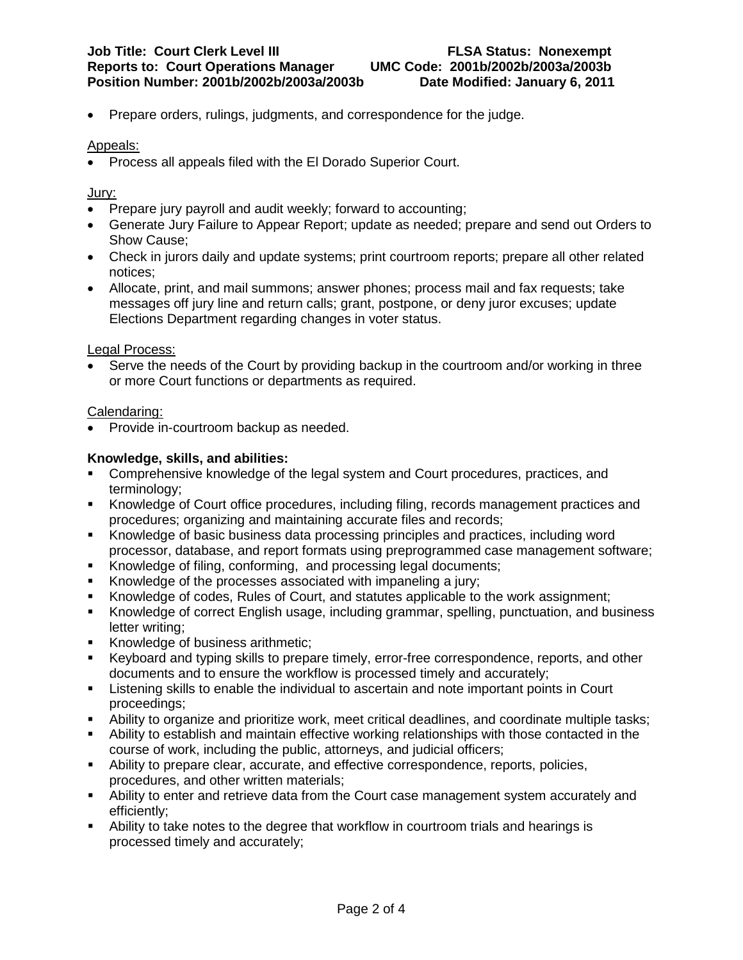• Prepare orders, rulings, judgments, and correspondence for the judge.

## Appeals:

• Process all appeals filed with the El Dorado Superior Court.

### Jury:

- Prepare jury payroll and audit weekly; forward to accounting;
- Generate Jury Failure to Appear Report; update as needed; prepare and send out Orders to Show Cause;
- Check in jurors daily and update systems; print courtroom reports; prepare all other related notices;
- Allocate, print, and mail summons; answer phones; process mail and fax requests; take messages off jury line and return calls; grant, postpone, or deny juror excuses; update Elections Department regarding changes in voter status.

### Legal Process:

• Serve the needs of the Court by providing backup in the courtroom and/or working in three or more Court functions or departments as required.

### Calendaring:

• Provide in-courtroom backup as needed.

### **Knowledge, skills, and abilities:**

- Comprehensive knowledge of the legal system and Court procedures, practices, and terminology;
- Knowledge of Court office procedures, including filing, records management practices and procedures; organizing and maintaining accurate files and records;
- Knowledge of basic business data processing principles and practices, including word processor, database, and report formats using preprogrammed case management software;
- Knowledge of filing, conforming, and processing legal documents;
- Knowledge of the processes associated with impaneling a jury;
- Knowledge of codes, Rules of Court, and statutes applicable to the work assignment;
- Knowledge of correct English usage, including grammar, spelling, punctuation, and business letter writing;
- Knowledge of business arithmetic:
- Keyboard and typing skills to prepare timely, error-free correspondence, reports, and other documents and to ensure the workflow is processed timely and accurately;
- Listening skills to enable the individual to ascertain and note important points in Court proceedings;
- Ability to organize and prioritize work, meet critical deadlines, and coordinate multiple tasks;
- Ability to establish and maintain effective working relationships with those contacted in the course of work, including the public, attorneys, and judicial officers;
- Ability to prepare clear, accurate, and effective correspondence, reports, policies, procedures, and other written materials;
- Ability to enter and retrieve data from the Court case management system accurately and efficiently;
- Ability to take notes to the degree that workflow in courtroom trials and hearings is processed timely and accurately;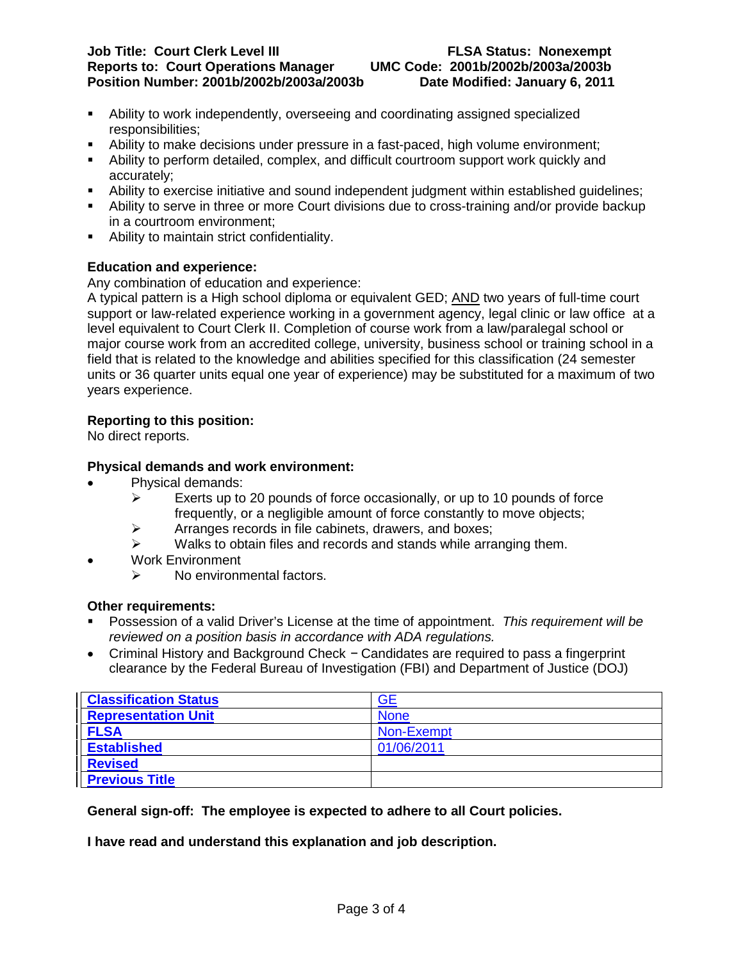#### **Job Title: Court Clerk Level III FLSA Status: Nonexempt Reports to: Court Operations Manager UMC Code: 2001b/2002b/2003a/2003b Position Number: 2001b/2002b/2003a/2003b**

- Ability to work independently, overseeing and coordinating assigned specialized responsibilities;
- Ability to make decisions under pressure in a fast-paced, high volume environment;
- Ability to perform detailed, complex, and difficult courtroom support work quickly and accurately;
- Ability to exercise initiative and sound independent judgment within established guidelines;
- Ability to serve in three or more Court divisions due to cross-training and/or provide backup in a courtroom environment;
- Ability to maintain strict confidentiality.

# **Education and experience:**

Any combination of education and experience:

A typical pattern is a High school diploma or equivalent GED; <u>AND</u> two years of full-time court support or law-related experience working in a government agency, legal clinic or law office at a level equivalent to Court Clerk II. Completion of course work from a law/paralegal school or major course work from an accredited college, university, business school or training school in a field that is related to the knowledge and abilities specified for this classification (24 semester units or 36 quarter units equal one year of experience) may be substituted for a maximum of two years experience.

# **Reporting to this position:**

No direct reports.

# **Physical demands and work environment:**

- Physical demands:
	- $\triangleright$  Exerts up to 20 pounds of force occasionally, or up to 10 pounds of force frequently, or a negligible amount of force constantly to move objects;
	- $\triangleright$  Arranges records in file cabinets, drawers, and boxes;
	- $\triangleright$  Walks to obtain files and records and stands while arranging them.
- Work Environment
	- $\triangleright$  No environmental factors.

# **Other requirements:**

- Possession of a valid Driver's License at the time of appointment. *This requirement will be reviewed on a position basis in accordance with ADA regulations.*
- Criminal History and Background Check − Candidates are required to pass a fingerprint clearance by the Federal Bureau of Investigation (FBI) and Department of Justice (DOJ)

| <b>Classification Status</b> | <b>GE</b>   |
|------------------------------|-------------|
| <b>Representation Unit</b>   | <b>None</b> |
| <b>FLSA</b>                  | Non-Exempt  |
| <b>Established</b>           | 01/06/2011  |
| <b>Revised</b>               |             |
| <b>Previous Title</b>        |             |

# **General sign-off: The employee is expected to adhere to all Court policies.**

**I have read and understand this explanation and job description.**